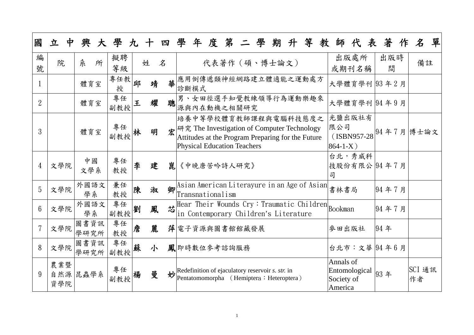| 國              | 立<br>中            | 興            | 大學九十四學    |   |   |   |                                                                                                                                                                             | 年度第二學期升       |  |  | 等 |                                                     |      | 教師代表著作       | $\mathcal{\mathcal{Z}}$           | 單 |
|----------------|-------------------|--------------|-----------|---|---|---|-----------------------------------------------------------------------------------------------------------------------------------------------------------------------------|---------------|--|--|---|-----------------------------------------------------|------|--------------|-----------------------------------|---|
| 編<br>號         | 院                 | 糸<br>所       | 擬聘<br>等級  |   | 姓 | 名 |                                                                                                                                                                             | 代表著作 (碩、博士論文) |  |  |   | 或期刊名稱                                               | 出版處所 | 出版時<br>間     | 備註                                |   |
|                |                   | 體育室          | 專任教<br>授  | 邱 | 靖 | 革 | 應用倒傳遞類神經網路建立體適能之運動處方<br>診斷模式                                                                                                                                                |               |  |  |   |                                                     |      | 大學體育學刊 93年2月 |                                   |   |
| $\overline{2}$ |                   | 體育室          | 專任<br>副教授 | 王 | 耀 | 聰 | 男、女田徑選手知覺教練領導行為運動樂趣來<br>源與內在動機之相關研究                                                                                                                                         |               |  |  |   |                                                     |      | 大學體育學刊 94年9月 |                                   |   |
| 3              |                   | 體育室          | 專任<br>副教授 |   | 明 |   | 培養中等學校體育教師課程與電腦科技態度之<br>宏 <sup>研究</sup> The Investigation of Computer Technology<br>Attitudes at the Program Preparing for the Future<br><b>Physical Education Teachers</b> |               |  |  |   | 光鹽出版社有<br>限公司<br>$864 - 1 - X)$                     |      |              | (ISBN957-28 <sup>94年7月</sup> 博士論文 |   |
| 4              | 文學院               | 中國<br>文學系    | 專任<br>教授  | 李 | 建 | 崑 | 《中晚唐苦吟詩人研究》                                                                                                                                                                 |               |  |  |   | 台北,秀威科<br>司                                         |      | 技股份有限公 94年7月 |                                   |   |
| 5              | 文學院               | 外國語文<br>學系   | 兼任<br>教授  | 陳 | 淑 | 卿 | Asian American Literayure in an Age of Asian<br>Transnationalism                                                                                                            |               |  |  |   | 書林書局                                                |      | 94年7月        |                                   |   |
| $6\phantom{1}$ | 文學院               | 外國語文<br>學系   | 專任<br>副教授 | 劉 | 鳳 | 芯 | Hear Their Wounds Cry: Traumatic Children Bookman<br>in Contemporary Children's Literature                                                                                  |               |  |  |   |                                                     |      | 94年7月        |                                   |   |
|                | 文學院               | 圖書資訊<br>學研究所 | 專任<br>教授  | 詹 | 麗 |   | 萍 電子資源與圖書館館藏發展                                                                                                                                                              |               |  |  |   | 麥田出版社                                               |      | 94年          |                                   |   |
| 8              | 文學院               | 圖書資訊<br>學研究所 | 專任<br>副教授 | 蘇 | 小 |   | 鳳即時數位參考諮詢服務                                                                                                                                                                 |               |  |  |   |                                                     |      | 台北市:文華 94年6月 |                                   |   |
| 9              | 農業暨<br>自然源<br>資學院 | 昆蟲學系         | 專任<br>副教授 | 楊 | 曼 | 妙 | Redefinition of ejaculatory reservoir s. str. in<br>Pentatomomorpha (Hemiptera: Heteroptera)                                                                                |               |  |  |   | Annals of<br>Entomological<br>Society of<br>America |      | 93年          | SCI 通訊<br>作者                      |   |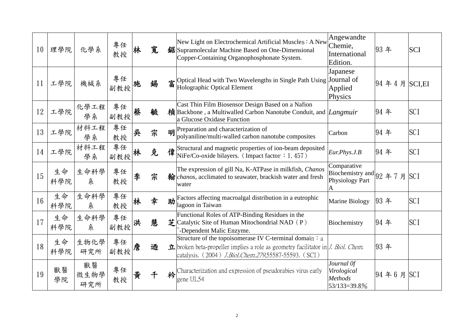| 10 | 理學院       | 化學系               | 專任<br>教授  | 杯 | 寬 |   | New Light on Electrochemical Artificial Muscles : A New<br>锯 Supramolecular Machine Based on One-Dimensional<br>Copper-Containing Organophosphonate System.                                                              | Angewandte<br>Chemie,<br>International<br>Edition.                 | 93年                   | <b>SCI</b> |
|----|-----------|-------------------|-----------|---|---|---|--------------------------------------------------------------------------------------------------------------------------------------------------------------------------------------------------------------------------|--------------------------------------------------------------------|-----------------------|------------|
| 11 | 工學院       | 機械系               | 專任<br>副教授 |   | 錫 |   | Superiorisal Head with Two Wavelengths in Single Path Using Journal of Holographic Optical Element                                                                                                                       | Japanese<br>Applied<br>Physics                                     | $ 94 \n44 \n5$ SCI,EI |            |
| 12 | 工學院       | 化學工程<br>學系        | 專任<br>副教授 | 蔡 | 毓 |   | Cast Thin Film Biosensor Design Based on a Nafion<br>楨 Backbone, a Multiwalled Carbon Nanotube Conduit, and <i>Langmuir</i><br>a Glucose Oxidase Function                                                                |                                                                    | 94年                   | <b>SCI</b> |
| 13 | 工學院       | 材料工程<br>學系        | 專任<br>教授  | 吳 | 宗 |   | $\mathbf{H}$ Preparation and characterization of<br>polyaniline/multi-walled carbon nanotube composites                                                                                                                  | Carbon                                                             | 94年                   | <b>SCI</b> |
| 14 | 工學院       | 材料工程<br>學系        | 專任<br>副教授 | 杯 | 克 |   | $\frac{1}{4}$ Structural and magnetic properties of ion-beam deposited<br>NiFe/Co-oxide bilayers. (Impact factor : 1.457)                                                                                                | Eur. Phys. J.B                                                     | 94年                   | <b>SCI</b> |
| 15 | 生命<br>科學院 | 生命科學<br>糸         | 專任<br>教授  | 李 | 宗 |   | The expression of gill Na, K-ATPase in milkfish, Chanos<br>翰 <i>chanos</i> , acclimated to seawater, brackish water and fresh<br>water                                                                                   | Comparative<br>Biochemistry and $92$ 年 7 月<br>Physiology Part<br>A |                       | <b>SCI</b> |
| 16 | 生命<br>科學院 | 生命科學<br>糸         | 專任<br>教授  | 林 | 幸 | 助 | Factors affecting macroalgal distribution in a eutrophic<br>lagoon in Taiwan                                                                                                                                             | Marine Biology                                                     | 93年                   | <b>SCI</b> |
| 17 | 生命<br>科學院 | 生命科學<br>糸         | 專任<br>副教授 | 洪 | 慧 |   | Functional Roles of ATP-Binding Residues in the<br>$\sharp$ Catalytic Site of Human Mitochondrial NAD (P)<br>-Dependent Malic Enzyme.                                                                                    | Biochemistry                                                       | 94年                   | <b>SCI</b> |
| 18 | 生命<br>科學院 | 生物化學<br>研究所       | 專任<br>副教授 | 詹 | 迺 |   | Structure of the topoisomerase IV C-terminal domain $: a$<br>$\pm$ broken beta-propeller implies a role as geometry facilitator in <i>J. Biol. Chem.</i><br>catalysis. (2004) <i>J.Biol.Chem.279</i> ,55587-55593. (SCI) |                                                                    | 93年                   |            |
| 19 | 獸醫<br>學院  | 獸醫<br>微生物學<br>研究所 | 專任<br>教授  | 黄 | 千 | 衿 | Characterization and expression of pseudorabies virus early<br>gene UL54                                                                                                                                                 | Journal Of<br>Virological<br><b>Methods</b><br>53/133=39.8%        | 94年6月                 | <b>SCI</b> |